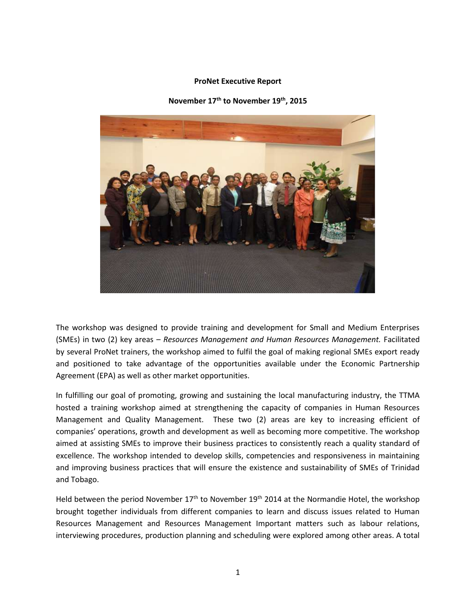## **ProNet Executive Report**

**November 17th to November 19th, 2015** 



The workshop was designed to provide training and development for Small and Medium Enterprises (SMEs) in two (2) key areas – *Resources Management and Human Resources Management.* Facilitated by several ProNet trainers, the workshop aimed to fulfil the goal of making regional SMEs export ready and positioned to take advantage of the opportunities available under the Economic Partnership Agreement (EPA) as well as other market opportunities.

In fulfilling our goal of promoting, growing and sustaining the local manufacturing industry, the TTMA hosted a training workshop aimed at strengthening the capacity of companies in Human Resources Management and Quality Management. These two (2) areas are key to increasing efficient of companies' operations, growth and development as well as becoming more competitive. The workshop aimed at assisting SMEs to improve their business practices to consistently reach a quality standard of excellence. The workshop intended to develop skills, competencies and responsiveness in maintaining and improving business practices that will ensure the existence and sustainability of SMEs of Trinidad and Tobago.

Held between the period November  $17<sup>th</sup>$  to November  $19<sup>th</sup>$  2014 at the Normandie Hotel, the workshop brought together individuals from different companies to learn and discuss issues related to Human Resources Management and Resources Management Important matters such as labour relations, interviewing procedures, production planning and scheduling were explored among other areas. A total